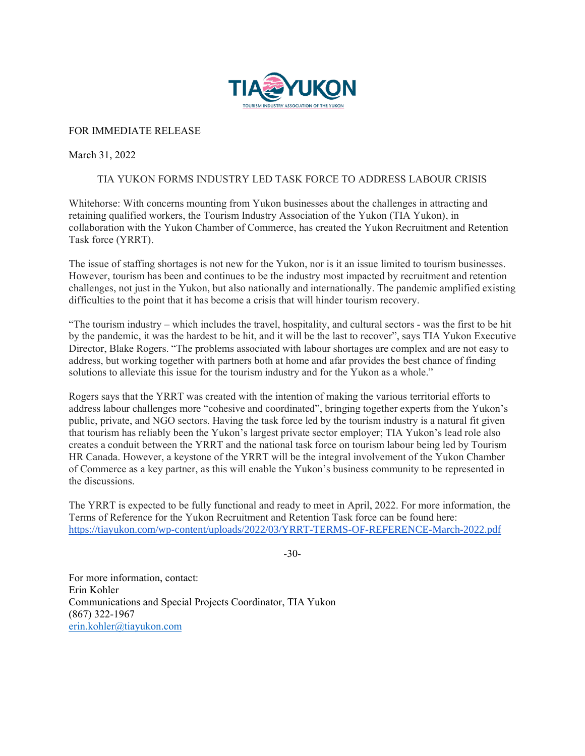

## FOR IMMEDIATE RELEASE

## March 31, 2022

## TIA YUKON FORMS INDUSTRY LED TASK FORCE TO ADDRESS LABOUR CRISIS

Whitehorse: With concerns mounting from Yukon businesses about the challenges in attracting and retaining qualified workers, the Tourism Industry Association of the Yukon (TIA Yukon), in collaboration with the Yukon Chamber of Commerce, has created the Yukon Recruitment and Retention Task force (YRRT).

The issue of staffing shortages is not new for the Yukon, nor is it an issue limited to tourism businesses. However, tourism has been and continues to be the industry most impacted by recruitment and retention challenges, not just in the Yukon, but also nationally and internationally. The pandemic amplified existing difficulties to the point that it has become a crisis that will hinder tourism recovery.

"The tourism industry – which includes the travel, hospitality, and cultural sectors - was the first to be hit by the pandemic, it was the hardest to be hit, and it will be the last to recover", says TIA Yukon Executive Director, Blake Rogers. "The problems associated with labour shortages are complex and are not easy to address, but working together with partners both at home and afar provides the best chance of finding solutions to alleviate this issue for the tourism industry and for the Yukon as a whole."

Rogers says that the YRRT was created with the intention of making the various territorial efforts to address labour challenges more "cohesive and coordinated", bringing together experts from the Yukon's public, private, and NGO sectors. Having the task force led by the tourism industry is a natural fit given that tourism has reliably been the Yukon's largest private sector employer; TIA Yukon's lead role also creates a conduit between the YRRT and the national task force on tourism labour being led by Tourism HR Canada. However, a keystone of the YRRT will be the integral involvement of the Yukon Chamber of Commerce as a key partner, as this will enable the Yukon's business community to be represented in the discussions.

The YRRT is expected to be fully functional and ready to meet in April, 2022. For more information, the Terms of Reference for the Yukon Recruitment and Retention Task force can be found here: <https://tiayukon.com/wp-content/uploads/2022/03/YRRT-TERMS-OF-REFERENCE-March-2022.pdf>

-30-

For more information, contact: Erin Kohler Communications and Special Projects Coordinator, TIA Yukon (867) 322-1967 [erin.kohler@tiayukon.com](mailto:erin.kohler@tiayukon.com)